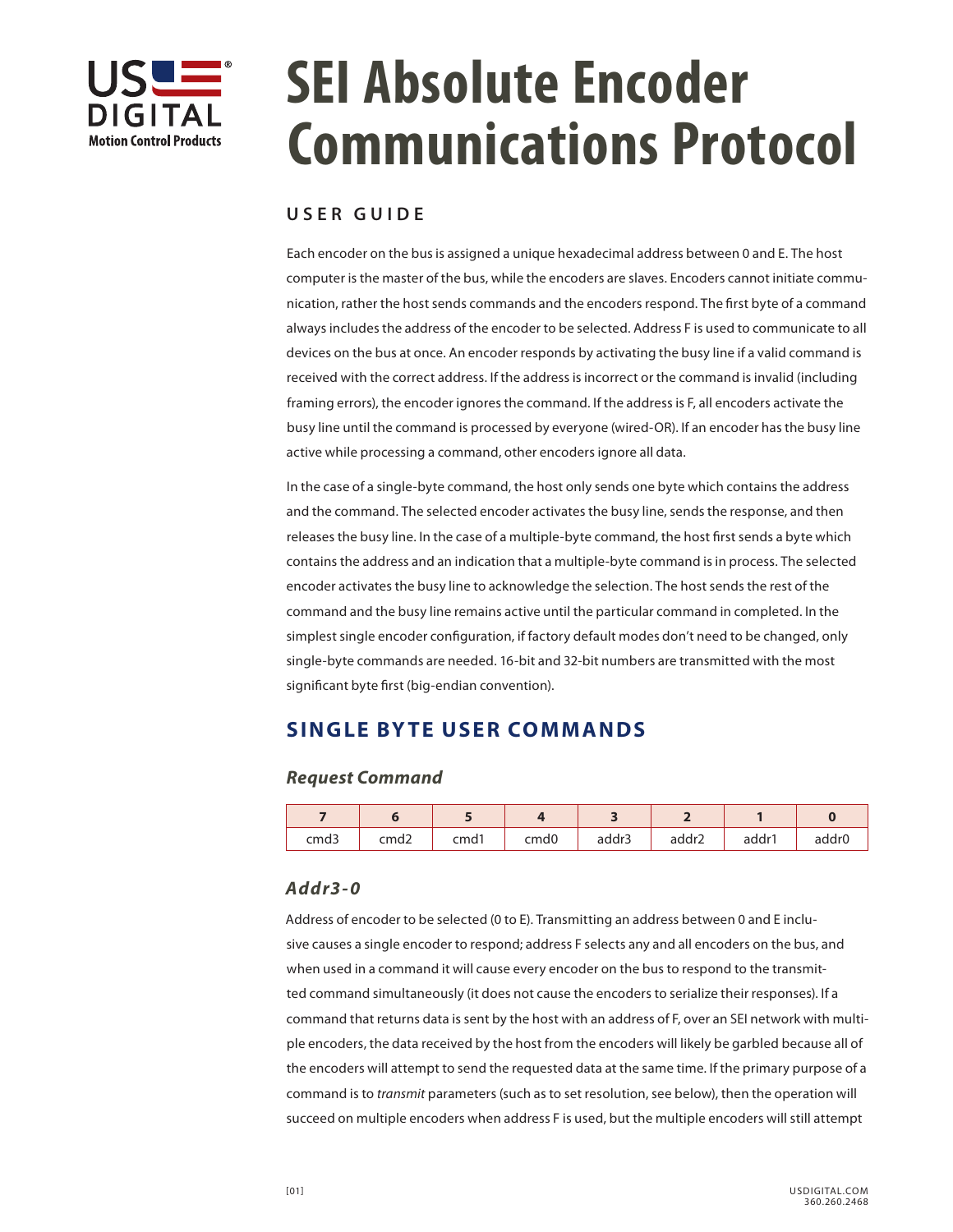

# **SEI Absolute Encoder Communications Protocol**

# **USER GUIDE**

Each encoder on the bus is assigned a unique hexadecimal address between 0 and E. The host computer is the master of the bus, while the encoders are slaves. Encoders cannot initiate communication, rather the host sends commands and the encoders respond. The first byte of a command always includes the address of the encoder to be selected. Address F is used to communicate to all devices on the bus at once. An encoder responds by activating the busy line if a valid command is received with the correct address. If the address is incorrect or the command is invalid (including framing errors), the encoder ignores the command. If the address is F, all encoders activate the busy line until the command is processed by everyone (wired-OR). If an encoder has the busy line active while processing a command, other encoders ignore all data.

In the case of a single-byte command, the host only sends one byte which contains the address and the command. The selected encoder activates the busy line, sends the response, and then releases the busy line. In the case of a multiple-byte command, the host first sends a byte which contains the address and an indication that a multiple-byte command is in process. The selected encoder activates the busy line to acknowledge the selection. The host sends the rest of the command and the busy line remains active until the particular command in completed. In the simplest single encoder configuration, if factory default modes don't need to be changed, only single-byte commands are needed. 16-bit and 32-bit numbers are transmitted with the most significant byte first (big-endian convention).

# **SINGLE BYTE USER COMMANDS**

## *Request Command*

| cmd3 | cmd2 | cmd1 | cmd0 | addr3 | addr2 | addr1 | addr <sub>0</sub> |
|------|------|------|------|-------|-------|-------|-------------------|

## *Addr3-0*

Address of encoder to be selected (0 to E). Transmitting an address between 0 and E inclusive causes a single encoder to respond; address F selects any and all encoders on the bus, and when used in a command it will cause every encoder on the bus to respond to the transmitted command simultaneously (it does not cause the encoders to serialize their responses). If a command that returns data is sent by the host with an address of F, over an SEI network with multiple encoders, the data received by the host from the encoders will likely be garbled because all of the encoders will attempt to send the requested data at the same time. If the primary purpose of a command is to *transmit* parameters (such as to set resolution, see below), then the operation will succeed on multiple encoders when address F is used, but the multiple encoders will still attempt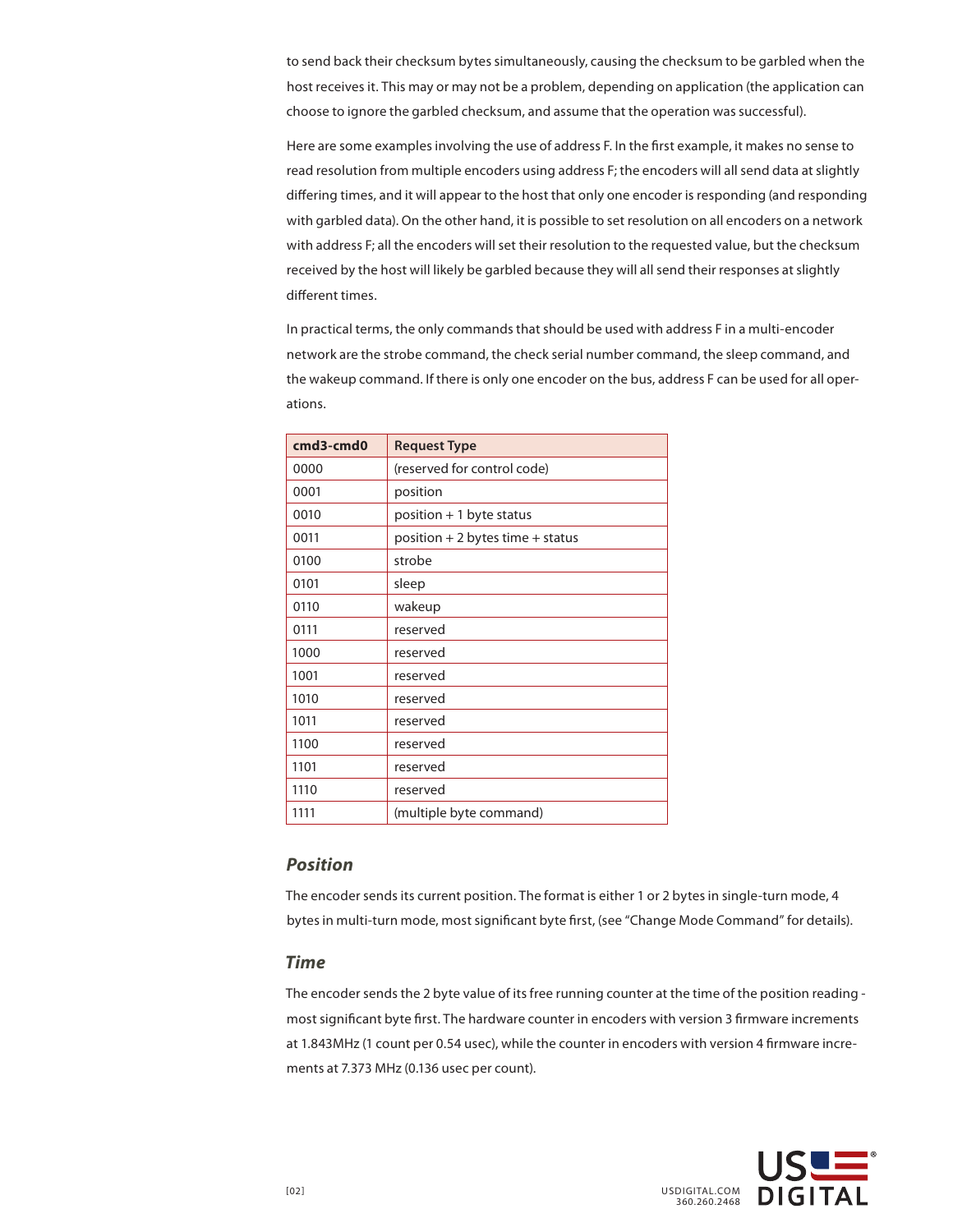to send back their checksum bytes simultaneously, causing the checksum to be garbled when the host receives it. This may or may not be a problem, depending on application (the application can choose to ignore the garbled checksum, and assume that the operation was successful).

Here are some examples involving the use of address F. In the first example, it makes no sense to read resolution from multiple encoders using address F; the encoders will all send data at slightly differing times, and it will appear to the host that only one encoder is responding (and responding with garbled data). On the other hand, it is possible to set resolution on all encoders on a network with address F; all the encoders will set their resolution to the requested value, but the checksum received by the host will likely be garbled because they will all send their responses at slightly different times.

In practical terms, the only commands that should be used with address F in a multi-encoder network are the strobe command, the check serial number command, the sleep command, and the wakeup command. If there is only one encoder on the bus, address F can be used for all operations.

| cmd3-cmd0 | <b>Request Type</b>                 |
|-----------|-------------------------------------|
| 0000      | (reserved for control code)         |
| 0001      | position                            |
| 0010      | position + 1 byte status            |
| 0011      | position $+2$ bytes time $+$ status |
| 0100      | strobe                              |
| 0101      | sleep                               |
| 0110      | wakeup                              |
| 0111      | reserved                            |
| 1000      | reserved                            |
| 1001      | reserved                            |
| 1010      | reserved                            |
| 1011      | reserved                            |
| 1100      | reserved                            |
| 1101      | reserved                            |
| 1110      | reserved                            |
| 1111      | (multiple byte command)             |

## *Position*

The encoder sends its current position. The format is either 1 or 2 bytes in single-turn mode, 4 bytes in multi-turn mode, most significant byte first, (see "Change Mode Command" for details).

#### *Time*

The encoder sends the 2 byte value of its free running counter at the time of the position reading most significant byte first. The hardware counter in encoders with version 3 firmware increments at 1.843MHz (1 count per 0.54 usec), while the counter in encoders with version 4 firmware increments at 7.373 MHz (0.136 usec per count).

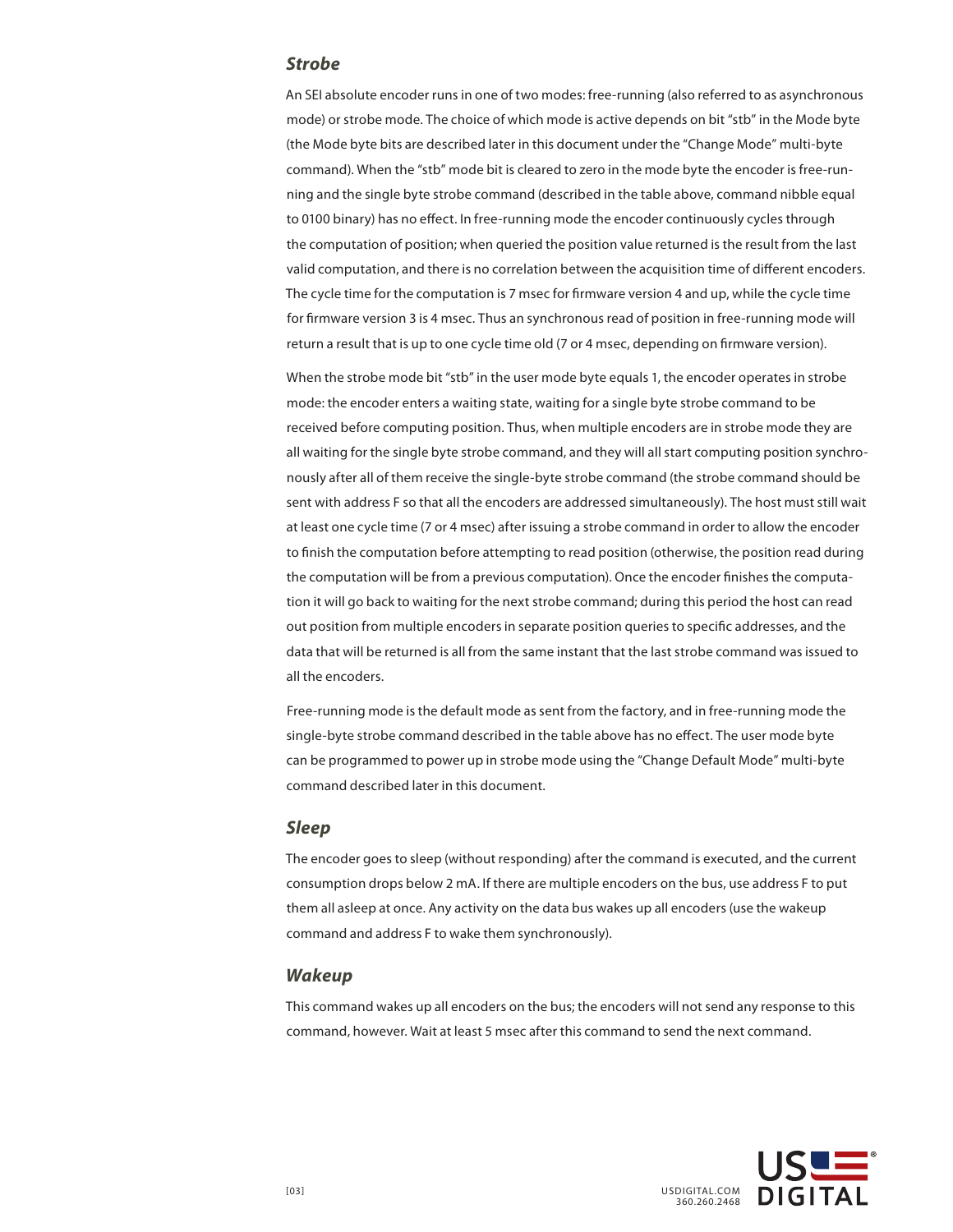#### *Strobe*

An SEI absolute encoder runs in one of two modes: free-running (also referred to as asynchronous mode) or strobe mode. The choice of which mode is active depends on bit "stb" in the Mode byte (the Mode byte bits are described later in this document under the "Change Mode" multi-byte command). When the "stb" mode bit is cleared to zero in the mode byte the encoder is free-running and the single byte strobe command (described in the table above, command nibble equal to 0100 binary) has no effect. In free-running mode the encoder continuously cycles through the computation of position; when queried the position value returned is the result from the last valid computation, and there is no correlation between the acquisition time of different encoders. The cycle time for the computation is 7 msec for firmware version 4 and up, while the cycle time for firmware version 3 is 4 msec. Thus an synchronous read of position in free-running mode will return a result that is up to one cycle time old (7 or 4 msec, depending on firmware version).

When the strobe mode bit "stb" in the user mode byte equals 1, the encoder operates in strobe mode: the encoder enters a waiting state, waiting for a single byte strobe command to be received before computing position. Thus, when multiple encoders are in strobe mode they are all waiting for the single byte strobe command, and they will all start computing position synchronously after all of them receive the single-byte strobe command (the strobe command should be sent with address F so that all the encoders are addressed simultaneously). The host must still wait at least one cycle time (7 or 4 msec) after issuing a strobe command in order to allow the encoder to finish the computation before attempting to read position (otherwise, the position read during the computation will be from a previous computation). Once the encoder finishes the computation it will go back to waiting for the next strobe command; during this period the host can read out position from multiple encoders in separate position queries to specific addresses, and the data that will be returned is all from the same instant that the last strobe command was issued to all the encoders.

Free-running mode is the default mode as sent from the factory, and in free-running mode the single-byte strobe command described in the table above has no effect. The user mode byte can be programmed to power up in strobe mode using the "Change Default Mode" multi-byte command described later in this document.

#### *Sleep*

The encoder goes to sleep (without responding) after the command is executed, and the current consumption drops below 2 mA. If there are multiple encoders on the bus, use address F to put them all asleep at once. Any activity on the data bus wakes up all encoders (use the wakeup command and address F to wake them synchronously).

#### *Wakeup*

This command wakes up all encoders on the bus; the encoders will not send any response to this command, however. Wait at least 5 msec after this command to send the next command.

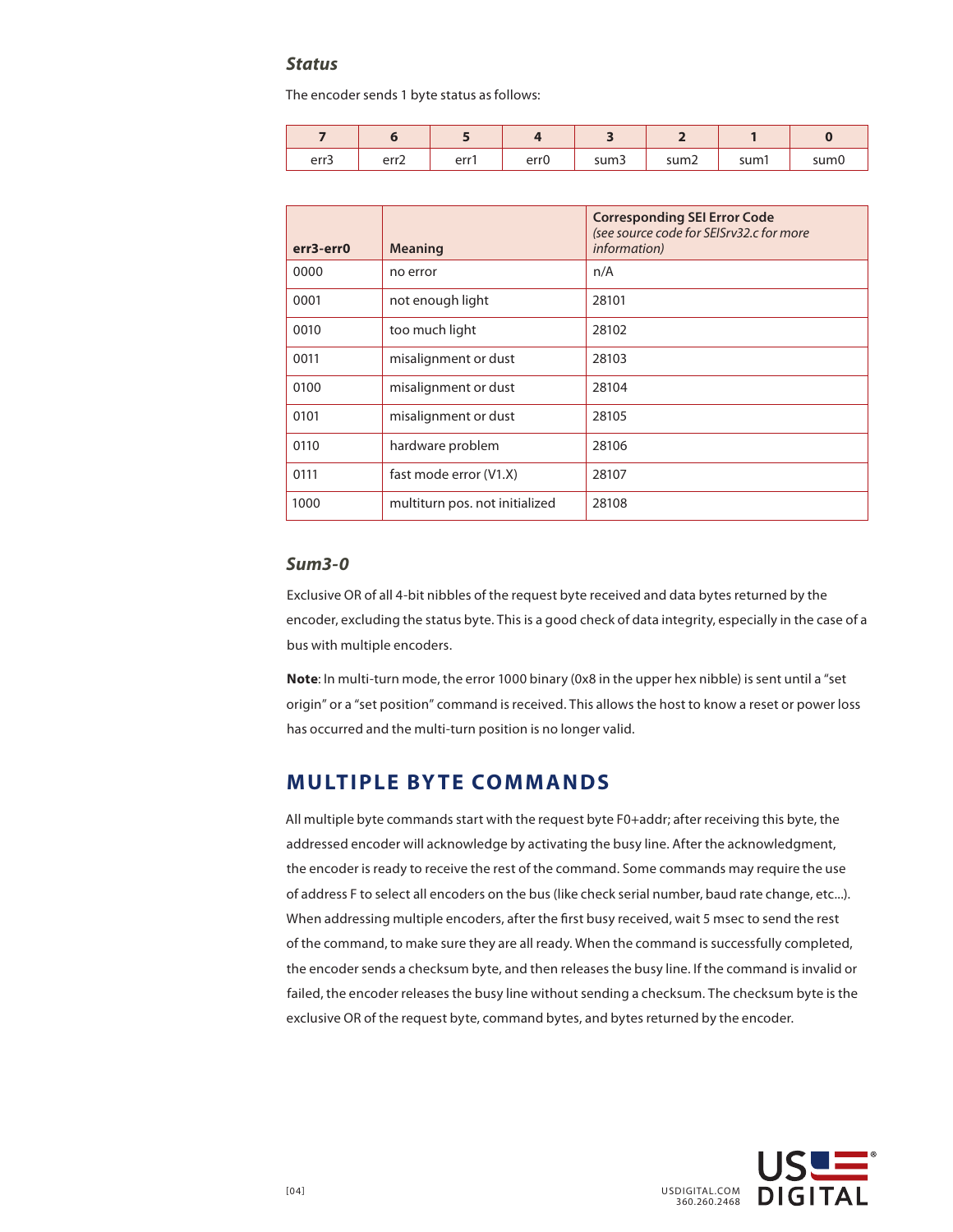## *Status*

The encoder sends 1 byte status as follows:

| err3 | err <sub>2</sub> | err1 | err0 | sum3 | sum <sub>2</sub> | sum1 | sum0 |
|------|------------------|------|------|------|------------------|------|------|

| err3-err0 | <b>Meaning</b>                 | <b>Corresponding SEI Error Code</b><br>(see source code for SEISrv32.c for more<br><i>information</i> ) |
|-----------|--------------------------------|---------------------------------------------------------------------------------------------------------|
| 0000      | no error                       | n/A                                                                                                     |
| 0001      | not enough light               | 28101                                                                                                   |
| 0010      | too much light                 | 28102                                                                                                   |
| 0011      | misalignment or dust           | 28103                                                                                                   |
| 0100      | misalignment or dust           | 28104                                                                                                   |
| 0101      | misalignment or dust           | 28105                                                                                                   |
| 0110      | hardware problem               | 28106                                                                                                   |
| 0111      | fast mode error (V1.X)         | 28107                                                                                                   |
| 1000      | multiturn pos. not initialized | 28108                                                                                                   |

## *Sum3-0*

Exclusive OR of all 4-bit nibbles of the request byte received and data bytes returned by the encoder, excluding the status byte. This is a good check of data integrity, especially in the case of a bus with multiple encoders.

**Note**: In multi-turn mode, the error 1000 binary (0x8 in the upper hex nibble) is sent until a "set origin" or a "set position" command is received. This allows the host to know a reset or power loss has occurred and the multi-turn position is no longer valid.

# **MULTIPLE BYTE COMMANDS**

All multiple byte commands start with the request byte F0+addr; after receiving this byte, the addressed encoder will acknowledge by activating the busy line. After the acknowledgment, the encoder is ready to receive the rest of the command. Some commands may require the use of address F to select all encoders on the bus (like check serial number, baud rate change, etc...). When addressing multiple encoders, after the first busy received, wait 5 msec to send the rest of the command, to make sure they are all ready. When the command is successfully completed, the encoder sends a checksum byte, and then releases the busy line. If the command is invalid or failed, the encoder releases the busy line without sending a checksum. The checksum byte is the exclusive OR of the request byte, command bytes, and bytes returned by the encoder.

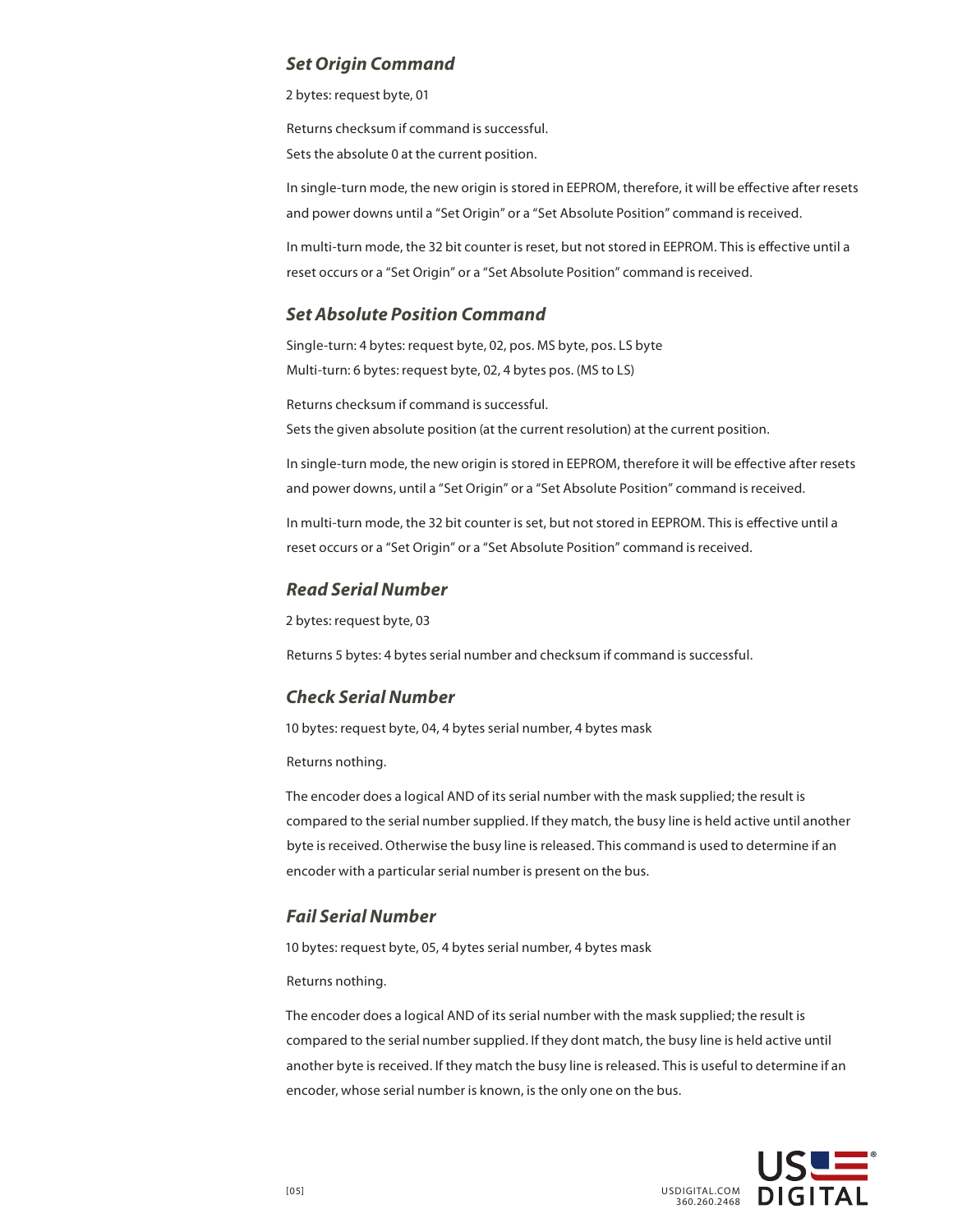#### *Set Origin Command*

2 bytes: request byte, 01

Returns checksum if command is successful. Sets the absolute 0 at the current position.

In single-turn mode, the new origin is stored in EEPROM, therefore, it will be effective after resets and power downs until a "Set Origin" or a "Set Absolute Position" command is received.

In multi-turn mode, the 32 bit counter is reset, but not stored in EEPROM. This is effective until a reset occurs or a "Set Origin" or a "Set Absolute Position" command is received.

## *Set Absolute Position Command*

Single-turn: 4 bytes: request byte, 02, pos. MS byte, pos. LS byte Multi-turn: 6 bytes: request byte, 02, 4 bytes pos. (MS to LS)

Returns checksum if command is successful. Sets the given absolute position (at the current resolution) at the current position.

In single-turn mode, the new origin is stored in EEPROM, therefore it will be effective after resets and power downs, until a "Set Origin" or a "Set Absolute Position" command is received.

In multi-turn mode, the 32 bit counter is set, but not stored in EEPROM. This is effective until a reset occurs or a "Set Origin" or a "Set Absolute Position" command is received.

#### *Read Serial Number*

2 bytes: request byte, 03

Returns 5 bytes: 4 bytes serial number and checksum if command is successful.

## *Check Serial Number*

10 bytes: request byte, 04, 4 bytes serial number, 4 bytes mask

Returns nothing.

The encoder does a logical AND of its serial number with the mask supplied; the result is compared to the serial number supplied. If they match, the busy line is held active until another byte is received. Otherwise the busy line is released. This command is used to determine if an encoder with a particular serial number is present on the bus.

## *Fail Serial Number*

10 bytes: request byte, 05, 4 bytes serial number, 4 bytes mask

Returns nothing.

The encoder does a logical AND of its serial number with the mask supplied; the result is compared to the serial number supplied. If they dont match, the busy line is held active until another byte is received. If they match the busy line is released. This is useful to determine if an encoder, whose serial number is known, is the only one on the bus.

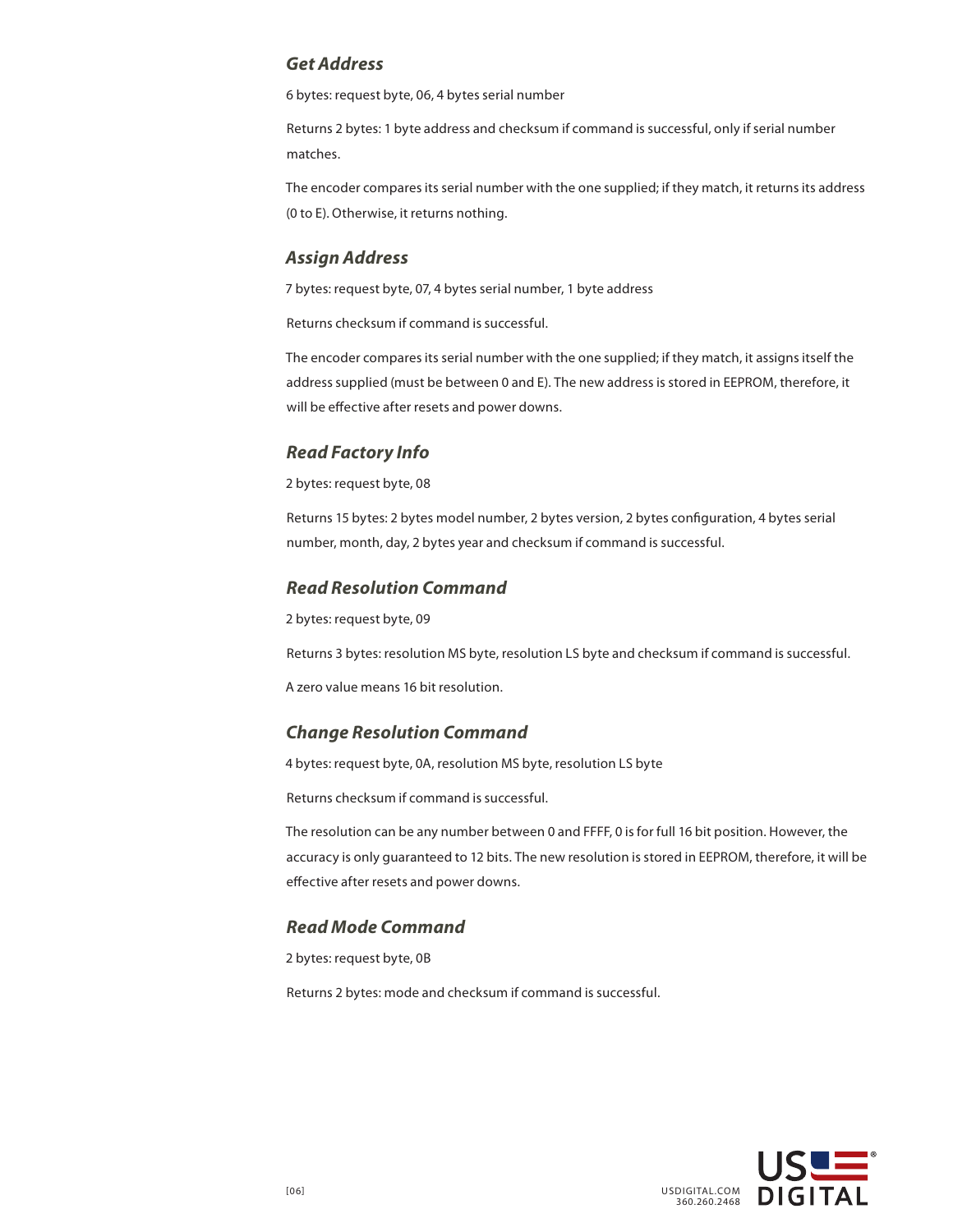## *Get Address*

6 bytes: request byte, 06, 4 bytes serial number

Returns 2 bytes: 1 byte address and checksum if command is successful, only if serial number matches.

The encoder compares its serial number with the one supplied; if they match, it returns its address (0 to E). Otherwise, it returns nothing.

## *Assign Address*

7 bytes: request byte, 07, 4 bytes serial number, 1 byte address

Returns checksum if command is successful.

The encoder compares its serial number with the one supplied; if they match, it assigns itself the address supplied (must be between 0 and E). The new address is stored in EEPROM, therefore, it will be effective after resets and power downs.

## *Read Factory Info*

2 bytes: request byte, 08

Returns 15 bytes: 2 bytes model number, 2 bytes version, 2 bytes configuration, 4 bytes serial number, month, day, 2 bytes year and checksum if command is successful.

## *Read Resolution Command*

2 bytes: request byte, 09

Returns 3 bytes: resolution MS byte, resolution LS byte and checksum if command is successful.

A zero value means 16 bit resolution.

## *Change Resolution Command*

4 bytes: request byte, 0A, resolution MS byte, resolution LS byte

Returns checksum if command is successful.

The resolution can be any number between 0 and FFFF, 0 is for full 16 bit position. However, the accuracy is only guaranteed to 12 bits. The new resolution is stored in EEPROM, therefore, it will be effective after resets and power downs.

## *Read Mode Command*

2 bytes: request byte, 0B

Returns 2 bytes: mode and checksum if command is successful.

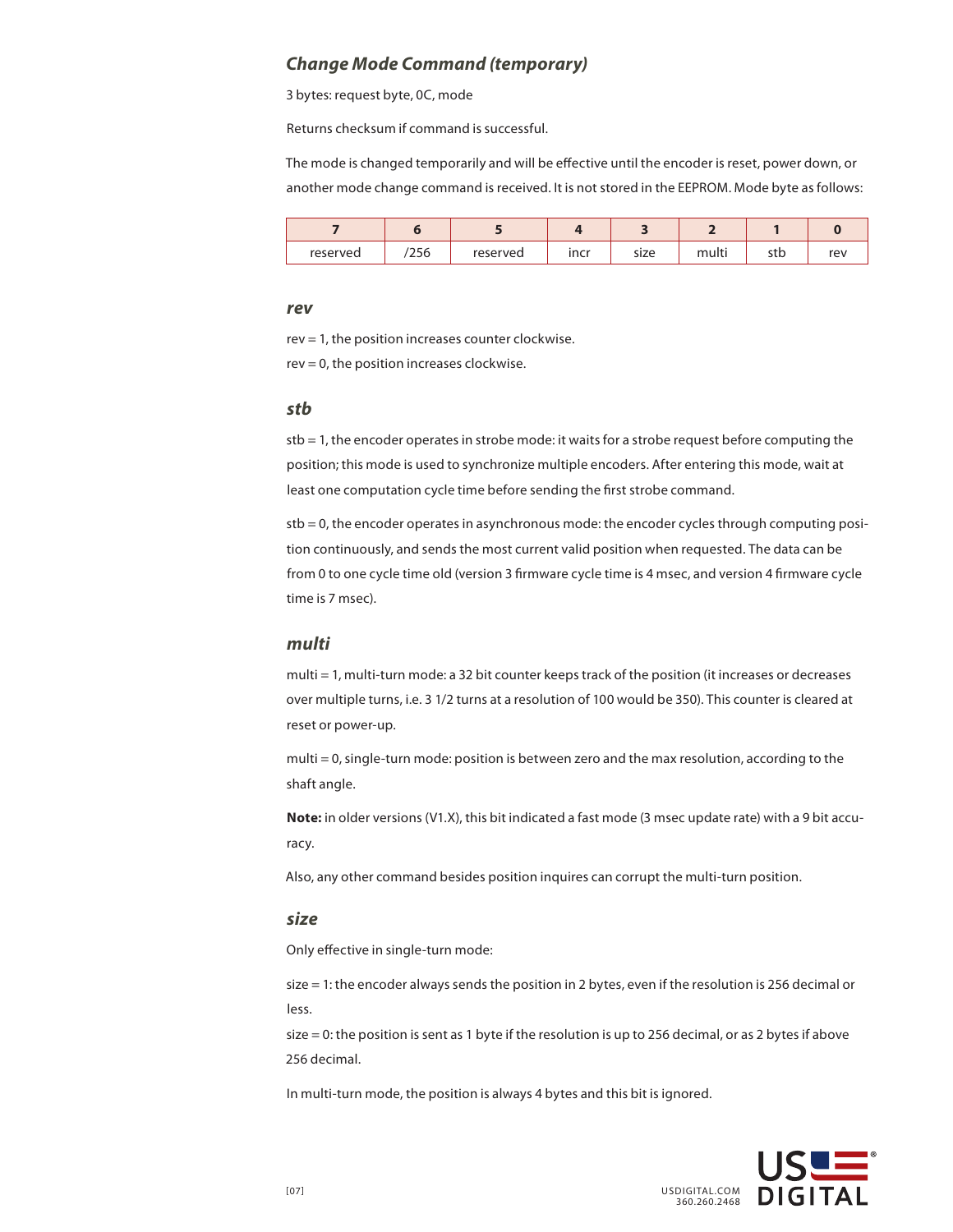#### *Change Mode Command (temporary)*

3 bytes: request byte, 0C, mode

Returns checksum if command is successful.

The mode is changed temporarily and will be effective until the encoder is reset, power down, or another mode change command is received. It is not stored in the EEPROM. Mode byte as follows:

| reserved | 256 | reserved | incr | size | multi | r+h<br>วเม | rev |
|----------|-----|----------|------|------|-------|------------|-----|

#### *rev*

rev = 1, the position increases counter clockwise. rev = 0, the position increases clockwise.

#### *stb*

stb = 1, the encoder operates in strobe mode: it waits for a strobe request before computing the position; this mode is used to synchronize multiple encoders. After entering this mode, wait at least one computation cycle time before sending the first strobe command.

stb = 0, the encoder operates in asynchronous mode: the encoder cycles through computing position continuously, and sends the most current valid position when requested. The data can be from 0 to one cycle time old (version 3 firmware cycle time is 4 msec, and version 4 firmware cycle time is 7 msec).

#### *multi*

multi = 1, multi-turn mode: a 32 bit counter keeps track of the position (it increases or decreases over multiple turns, i.e. 3 1/2 turns at a resolution of 100 would be 350). This counter is cleared at reset or power-up.

multi = 0, single-turn mode: position is between zero and the max resolution, according to the shaft angle.

**Note:** in older versions (V1.X), this bit indicated a fast mode (3 msec update rate) with a 9 bit accuracy.

Also, any other command besides position inquires can corrupt the multi-turn position.

#### *size*

Only effective in single-turn mode:

size = 1: the encoder always sends the position in 2 bytes, even if the resolution is 256 decimal or less.

size = 0: the position is sent as 1 byte if the resolution is up to 256 decimal, or as 2 bytes if above 256 decimal.

In multi-turn mode, the position is always 4 bytes and this bit is ignored.

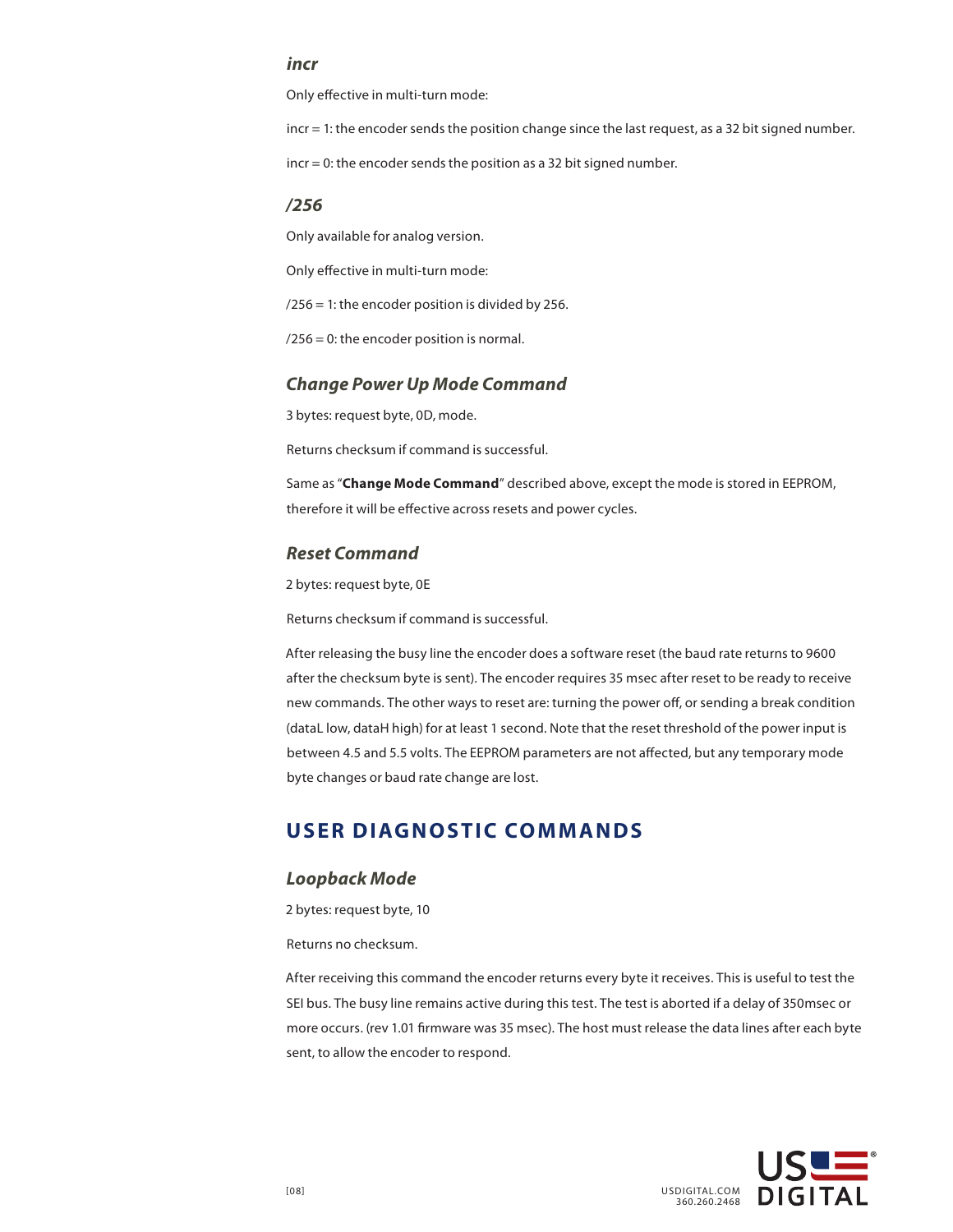#### *incr*

Only effective in multi-turn mode:

incr = 1: the encoder sends the position change since the last request, as a 32 bit signed number.

incr = 0: the encoder sends the position as a 32 bit signed number.

#### */256*

Only available for analog version.

Only effective in multi-turn mode:

 $/256 = 1$ : the encoder position is divided by 256.

/256 = 0: the encoder position is normal.

#### *Change Power Up Mode Command*

3 bytes: request byte, 0D, mode.

Returns checksum if command is successful.

Same as "**Change Mode Command**" described above, except the mode is stored in EEPROM, therefore it will be effective across resets and power cycles.

#### *Reset Command*

2 bytes: request byte, 0E

Returns checksum if command is successful.

After releasing the busy line the encoder does a software reset (the baud rate returns to 9600 after the checksum byte is sent). The encoder requires 35 msec after reset to be ready to receive new commands. The other ways to reset are: turning the power off, or sending a break condition (dataL low, dataH high) for at least 1 second. Note that the reset threshold of the power input is between 4.5 and 5.5 volts. The EEPROM parameters are not affected, but any temporary mode byte changes or baud rate change are lost.

# **USER DIAGNOSTIC COMMANDS**

#### *Loopback Mode*

2 bytes: request byte, 10

Returns no checksum.

After receiving this command the encoder returns every byte it receives. This is useful to test the SEI bus. The busy line remains active during this test. The test is aborted if a delay of 350msec or more occurs. (rev 1.01 firmware was 35 msec). The host must release the data lines after each byte sent, to allow the encoder to respond.